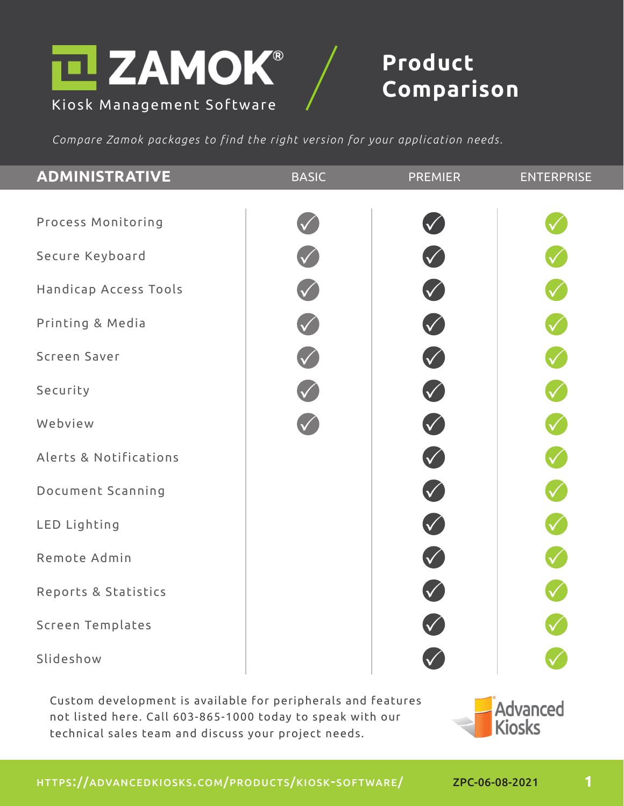

## **Product**

*Compare Zamok packages to find the right version for your application needs.*

| <b>ADMINISTRATIVE</b>   | <b>BASIC</b> | <b>PREMIER</b>                              | <b>ENTERPRISE</b> |
|-------------------------|--------------|---------------------------------------------|-------------------|
|                         |              |                                             |                   |
| Process Monitoring      |              |                                             |                   |
| Secure Keyboard         |              |                                             |                   |
| Handicap Access Tools   |              | V                                           | V                 |
| Printing & Media        |              | $\bigvee$                                   |                   |
| Screen Saver            | V            | V                                           | V                 |
| Security                |              | $\bigvee$                                   |                   |
| Webview                 |              | V                                           | V                 |
| Alerts & Notifications  |              | V                                           |                   |
| Document Scanning       |              | V                                           | V                 |
| LED Lighting            |              | $\bigvee$                                   |                   |
| Remote Admin            |              | $\begin{pmatrix} 1 \\ 1 \\ 2 \end{pmatrix}$ |                   |
| Reports & Statistics    |              |                                             |                   |
| <b>Screen Templates</b> |              |                                             |                   |
| Slideshow               |              |                                             |                   |

Custom development is available for peripherals and features not listed here. Call 603-865-1000 today to speak with our technical sales team and discuss your project needs.



**Advanced** 

**1**